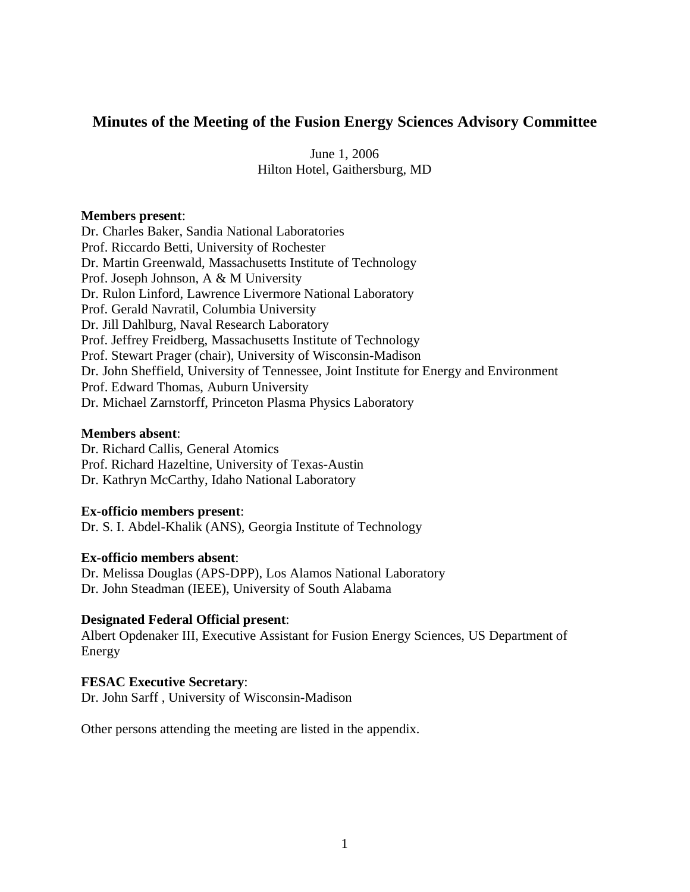# **Minutes of the Meeting of the Fusion Energy Sciences Advisory Committee**

June 1, 2006 Hilton Hotel, Gaithersburg, MD

#### **Members present**:

Dr. Charles Baker, Sandia National Laboratories Prof. Riccardo Betti, University of Rochester Dr. Martin Greenwald, Massachusetts Institute of Technology Prof. Joseph Johnson, A & M University Dr. Rulon Linford, Lawrence Livermore National Laboratory Prof. Gerald Navratil, Columbia University Dr. Jill Dahlburg, Naval Research Laboratory Prof. Jeffrey Freidberg, Massachusetts Institute of Technology Prof. Stewart Prager (chair), University of Wisconsin-Madison Dr. John Sheffield, University of Tennessee, Joint Institute for Energy and Environment Prof. Edward Thomas, Auburn University Dr. Michael Zarnstorff, Princeton Plasma Physics Laboratory

#### **Members absent**:

Dr. Richard Callis, General Atomics Prof. Richard Hazeltine, University of Texas-Austin Dr. Kathryn McCarthy, Idaho National Laboratory

#### **Ex-officio members present**:

Dr. S. I. Abdel-Khalik (ANS), Georgia Institute of Technology

#### **Ex-officio members absent**:

Dr. Melissa Douglas (APS-DPP), Los Alamos National Laboratory Dr. John Steadman (IEEE), University of South Alabama

### **Designated Federal Official present**:

Albert Opdenaker III, Executive Assistant for Fusion Energy Sciences, US Department of Energy

#### **FESAC Executive Secretary**:

Dr. John Sarff , University of Wisconsin-Madison

Other persons attending the meeting are listed in the appendix.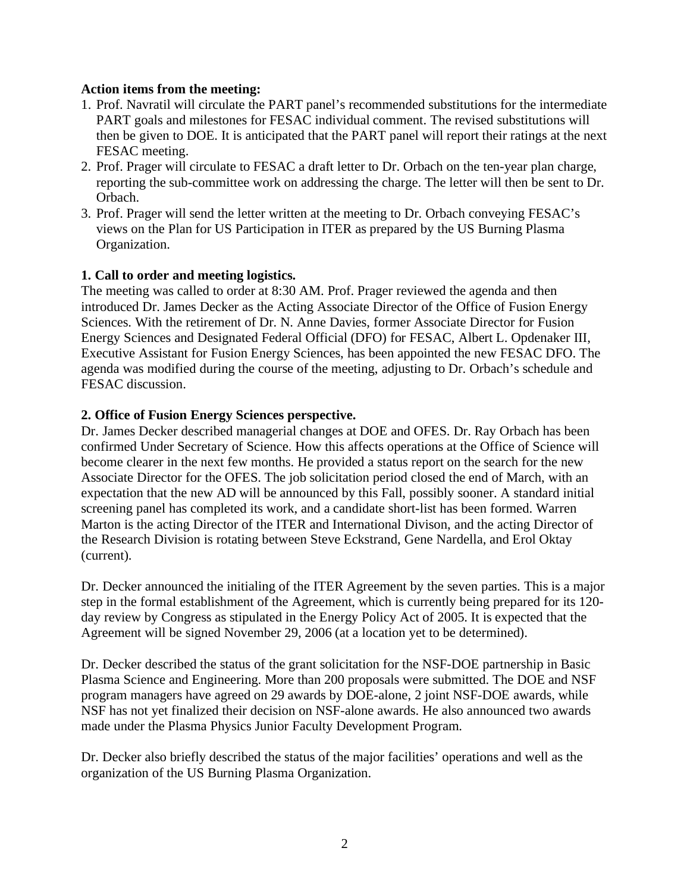### **Action items from the meeting:**

- 1. Prof. Navratil will circulate the PART panel's recommended substitutions for the intermediate PART goals and milestones for FESAC individual comment. The revised substitutions will then be given to DOE. It is anticipated that the PART panel will report their ratings at the next FESAC meeting.
- 2. Prof. Prager will circulate to FESAC a draft letter to Dr. Orbach on the ten-year plan charge, reporting the sub-committee work on addressing the charge. The letter will then be sent to Dr. Orbach.
- 3. Prof. Prager will send the letter written at the meeting to Dr. Orbach conveying FESAC's views on the Plan for US Participation in ITER as prepared by the US Burning Plasma Organization.

# **1. Call to order and meeting logistics.**

The meeting was called to order at 8:30 AM. Prof. Prager reviewed the agenda and then introduced Dr. James Decker as the Acting Associate Director of the Office of Fusion Energy Sciences. With the retirement of Dr. N. Anne Davies, former Associate Director for Fusion Energy Sciences and Designated Federal Official (DFO) for FESAC, Albert L. Opdenaker III, Executive Assistant for Fusion Energy Sciences, has been appointed the new FESAC DFO. The agenda was modified during the course of the meeting, adjusting to Dr. Orbach's schedule and FESAC discussion.

### **2. Office of Fusion Energy Sciences perspective.**

Dr. James Decker described managerial changes at DOE and OFES. Dr. Ray Orbach has been confirmed Under Secretary of Science. How this affects operations at the Office of Science will become clearer in the next few months. He provided a status report on the search for the new Associate Director for the OFES. The job solicitation period closed the end of March, with an expectation that the new AD will be announced by this Fall, possibly sooner. A standard initial screening panel has completed its work, and a candidate short-list has been formed. Warren Marton is the acting Director of the ITER and International Divison, and the acting Director of the Research Division is rotating between Steve Eckstrand, Gene Nardella, and Erol Oktay (current).

Dr. Decker announced the initialing of the ITER Agreement by the seven parties. This is a major step in the formal establishment of the Agreement, which is currently being prepared for its 120 day review by Congress as stipulated in the Energy Policy Act of 2005. It is expected that the Agreement will be signed November 29, 2006 (at a location yet to be determined).

Dr. Decker described the status of the grant solicitation for the NSF-DOE partnership in Basic Plasma Science and Engineering. More than 200 proposals were submitted. The DOE and NSF program managers have agreed on 29 awards by DOE-alone, 2 joint NSF-DOE awards, while NSF has not yet finalized their decision on NSF-alone awards. He also announced two awards made under the Plasma Physics Junior Faculty Development Program.

Dr. Decker also briefly described the status of the major facilities' operations and well as the organization of the US Burning Plasma Organization.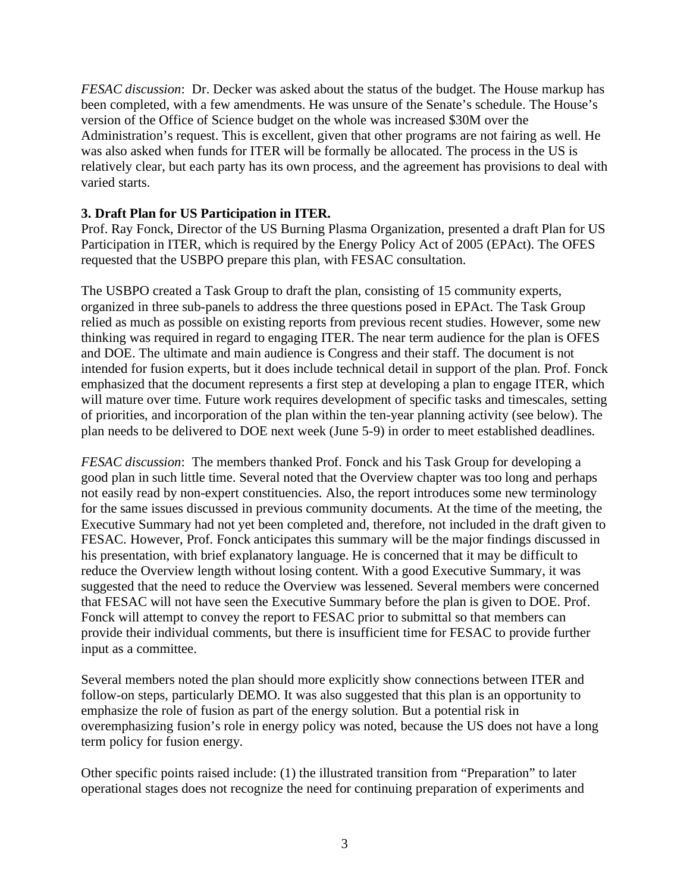*FESAC discussion*: Dr. Decker was asked about the status of the budget. The House markup has been completed, with a few amendments. He was unsure of the Senate's schedule. The House's version of the Office of Science budget on the whole was increased \$30M over the Administration's request. This is excellent, given that other programs are not fairing as well. He was also asked when funds for ITER will be formally be allocated. The process in the US is relatively clear, but each party has its own process, and the agreement has provisions to deal with varied starts.

# **3. Draft Plan for US Participation in ITER.**

Prof. Ray Fonck, Director of the US Burning Plasma Organization, presented a draft Plan for US Participation in ITER, which is required by the Energy Policy Act of 2005 (EPAct). The OFES requested that the USBPO prepare this plan, with FESAC consultation.

The USBPO created a Task Group to draft the plan, consisting of 15 community experts, organized in three sub-panels to address the three questions posed in EPAct. The Task Group relied as much as possible on existing reports from previous recent studies. However, some new thinking was required in regard to engaging ITER. The near term audience for the plan is OFES and DOE. The ultimate and main audience is Congress and their staff. The document is not intended for fusion experts, but it does include technical detail in support of the plan. Prof. Fonck emphasized that the document represents a first step at developing a plan to engage ITER, which will mature over time. Future work requires development of specific tasks and timescales, setting of priorities, and incorporation of the plan within the ten-year planning activity (see below). The plan needs to be delivered to DOE next week (June 5-9) in order to meet established deadlines.

*FESAC discussion*: The members thanked Prof. Fonck and his Task Group for developing a good plan in such little time. Several noted that the Overview chapter was too long and perhaps not easily read by non-expert constituencies. Also, the report introduces some new terminology for the same issues discussed in previous community documents. At the time of the meeting, the Executive Summary had not yet been completed and, therefore, not included in the draft given to FESAC. However, Prof. Fonck anticipates this summary will be the major findings discussed in his presentation, with brief explanatory language. He is concerned that it may be difficult to reduce the Overview length without losing content. With a good Executive Summary, it was suggested that the need to reduce the Overview was lessened. Several members were concerned that FESAC will not have seen the Executive Summary before the plan is given to DOE. Prof. Fonck will attempt to convey the report to FESAC prior to submittal so that members can provide their individual comments, but there is insufficient time for FESAC to provide further input as a committee.

Several members noted the plan should more explicitly show connections between ITER and follow-on steps, particularly DEMO. It was also suggested that this plan is an opportunity to emphasize the role of fusion as part of the energy solution. But a potential risk in overemphasizing fusion's role in energy policy was noted, because the US does not have a long term policy for fusion energy.

Other specific points raised include: (1) the illustrated transition from "Preparation" to later operational stages does not recognize the need for continuing preparation of experiments and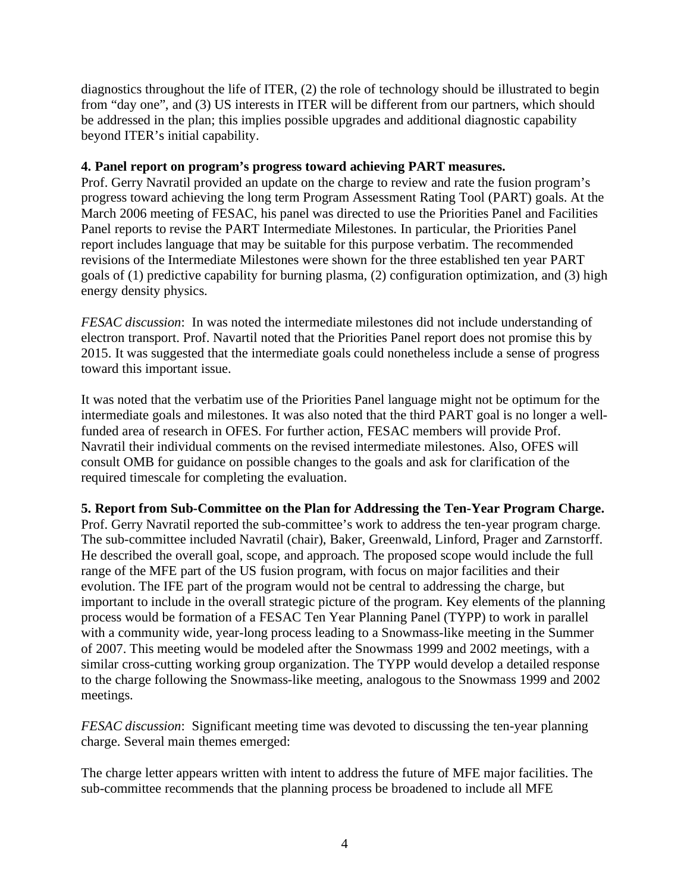diagnostics throughout the life of ITER, (2) the role of technology should be illustrated to begin from "day one", and (3) US interests in ITER will be different from our partners, which should be addressed in the plan; this implies possible upgrades and additional diagnostic capability beyond ITER's initial capability.

### **4. Panel report on program's progress toward achieving PART measures.**

Prof. Gerry Navratil provided an update on the charge to review and rate the fusion program's progress toward achieving the long term Program Assessment Rating Tool (PART) goals. At the March 2006 meeting of FESAC, his panel was directed to use the Priorities Panel and Facilities Panel reports to revise the PART Intermediate Milestones. In particular, the Priorities Panel report includes language that may be suitable for this purpose verbatim. The recommended revisions of the Intermediate Milestones were shown for the three established ten year PART goals of (1) predictive capability for burning plasma, (2) configuration optimization, and (3) high energy density physics.

*FESAC discussion*: In was noted the intermediate milestones did not include understanding of electron transport. Prof. Navartil noted that the Priorities Panel report does not promise this by 2015. It was suggested that the intermediate goals could nonetheless include a sense of progress toward this important issue.

It was noted that the verbatim use of the Priorities Panel language might not be optimum for the intermediate goals and milestones. It was also noted that the third PART goal is no longer a wellfunded area of research in OFES. For further action, FESAC members will provide Prof. Navratil their individual comments on the revised intermediate milestones. Also, OFES will consult OMB for guidance on possible changes to the goals and ask for clarification of the required timescale for completing the evaluation.

# **5. Report from Sub-Committee on the Plan for Addressing the Ten-Year Program Charge.**

Prof. Gerry Navratil reported the sub-committee's work to address the ten-year program charge. The sub-committee included Navratil (chair), Baker, Greenwald, Linford, Prager and Zarnstorff. He described the overall goal, scope, and approach. The proposed scope would include the full range of the MFE part of the US fusion program, with focus on major facilities and their evolution. The IFE part of the program would not be central to addressing the charge, but important to include in the overall strategic picture of the program. Key elements of the planning process would be formation of a FESAC Ten Year Planning Panel (TYPP) to work in parallel with a community wide, year-long process leading to a Snowmass-like meeting in the Summer of 2007. This meeting would be modeled after the Snowmass 1999 and 2002 meetings, with a similar cross-cutting working group organization. The TYPP would develop a detailed response to the charge following the Snowmass-like meeting, analogous to the Snowmass 1999 and 2002 meetings.

*FESAC discussion*: Significant meeting time was devoted to discussing the ten-year planning charge. Several main themes emerged:

The charge letter appears written with intent to address the future of MFE major facilities. The sub-committee recommends that the planning process be broadened to include all MFE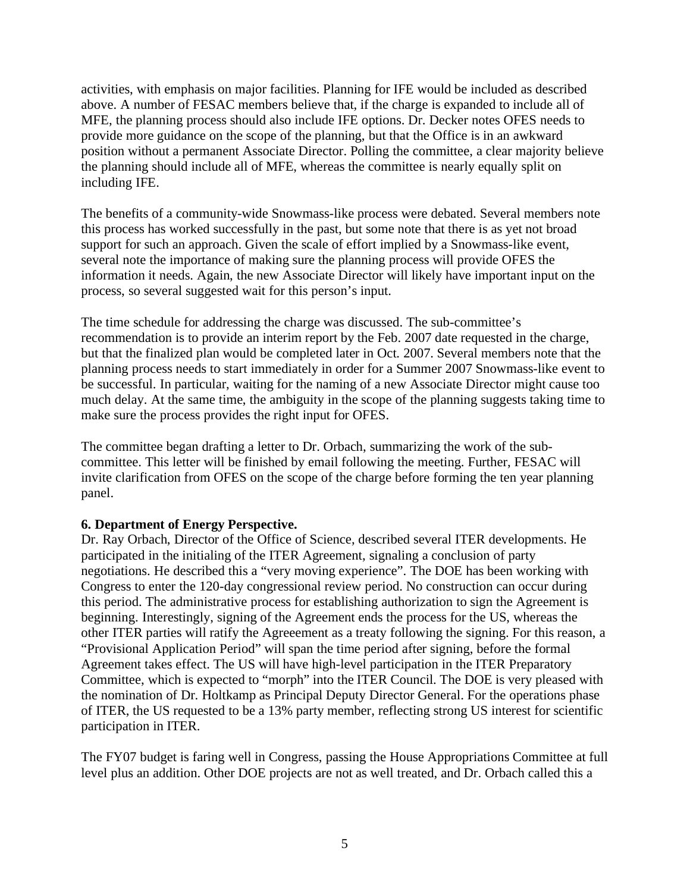activities, with emphasis on major facilities. Planning for IFE would be included as described above. A number of FESAC members believe that, if the charge is expanded to include all of MFE, the planning process should also include IFE options. Dr. Decker notes OFES needs to provide more guidance on the scope of the planning, but that the Office is in an awkward position without a permanent Associate Director. Polling the committee, a clear majority believe the planning should include all of MFE, whereas the committee is nearly equally split on including IFE.

The benefits of a community-wide Snowmass-like process were debated. Several members note this process has worked successfully in the past, but some note that there is as yet not broad support for such an approach. Given the scale of effort implied by a Snowmass-like event, several note the importance of making sure the planning process will provide OFES the information it needs. Again, the new Associate Director will likely have important input on the process, so several suggested wait for this person's input.

The time schedule for addressing the charge was discussed. The sub-committee's recommendation is to provide an interim report by the Feb. 2007 date requested in the charge, but that the finalized plan would be completed later in Oct. 2007. Several members note that the planning process needs to start immediately in order for a Summer 2007 Snowmass-like event to be successful. In particular, waiting for the naming of a new Associate Director might cause too much delay. At the same time, the ambiguity in the scope of the planning suggests taking time to make sure the process provides the right input for OFES.

The committee began drafting a letter to Dr. Orbach, summarizing the work of the subcommittee. This letter will be finished by email following the meeting. Further, FESAC will invite clarification from OFES on the scope of the charge before forming the ten year planning panel.

# **6. Department of Energy Perspective.**

Dr. Ray Orbach, Director of the Office of Science, described several ITER developments. He participated in the initialing of the ITER Agreement, signaling a conclusion of party negotiations. He described this a "very moving experience". The DOE has been working with Congress to enter the 120-day congressional review period. No construction can occur during this period. The administrative process for establishing authorization to sign the Agreement is beginning. Interestingly, signing of the Agreement ends the process for the US, whereas the other ITER parties will ratify the Agreeement as a treaty following the signing. For this reason, a "Provisional Application Period" will span the time period after signing, before the formal Agreement takes effect. The US will have high-level participation in the ITER Preparatory Committee, which is expected to "morph" into the ITER Council. The DOE is very pleased with the nomination of Dr. Holtkamp as Principal Deputy Director General. For the operations phase of ITER, the US requested to be a 13% party member, reflecting strong US interest for scientific participation in ITER.

The FY07 budget is faring well in Congress, passing the House Appropriations Committee at full level plus an addition. Other DOE projects are not as well treated, and Dr. Orbach called this a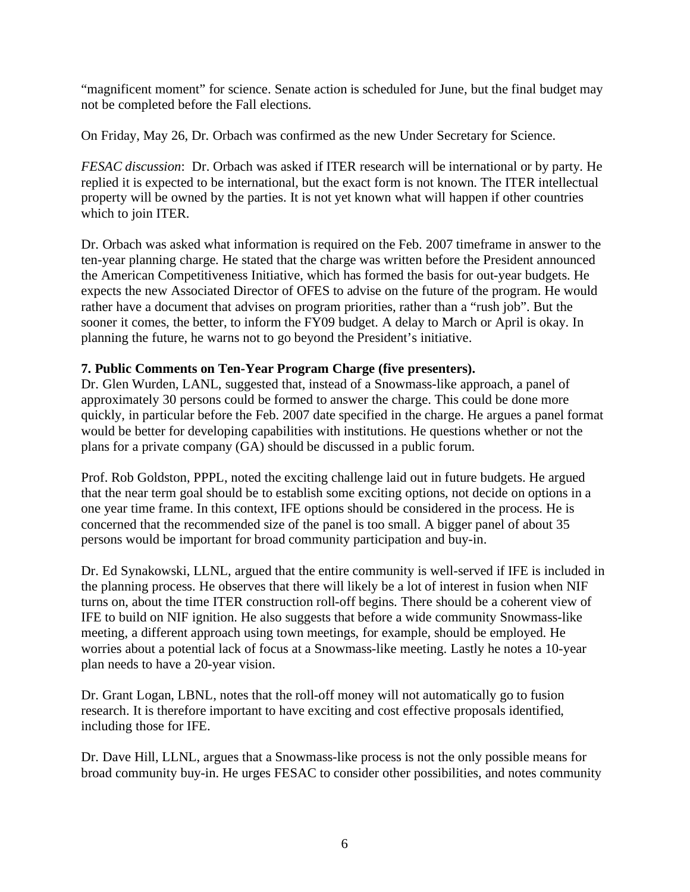"magnificent moment" for science. Senate action is scheduled for June, but the final budget may not be completed before the Fall elections.

On Friday, May 26, Dr. Orbach was confirmed as the new Under Secretary for Science.

*FESAC discussion*: Dr. Orbach was asked if ITER research will be international or by party. He replied it is expected to be international, but the exact form is not known. The ITER intellectual property will be owned by the parties. It is not yet known what will happen if other countries which to join ITER.

Dr. Orbach was asked what information is required on the Feb. 2007 timeframe in answer to the ten-year planning charge. He stated that the charge was written before the President announced the American Competitiveness Initiative, which has formed the basis for out-year budgets. He expects the new Associated Director of OFES to advise on the future of the program. He would rather have a document that advises on program priorities, rather than a "rush job". But the sooner it comes, the better, to inform the FY09 budget. A delay to March or April is okay. In planning the future, he warns not to go beyond the President's initiative.

### **7. Public Comments on Ten-Year Program Charge (five presenters).**

Dr. Glen Wurden, LANL, suggested that, instead of a Snowmass-like approach, a panel of approximately 30 persons could be formed to answer the charge. This could be done more quickly, in particular before the Feb. 2007 date specified in the charge. He argues a panel format would be better for developing capabilities with institutions. He questions whether or not the plans for a private company (GA) should be discussed in a public forum.

Prof. Rob Goldston, PPPL, noted the exciting challenge laid out in future budgets. He argued that the near term goal should be to establish some exciting options, not decide on options in a one year time frame. In this context, IFE options should be considered in the process. He is concerned that the recommended size of the panel is too small. A bigger panel of about 35 persons would be important for broad community participation and buy-in.

Dr. Ed Synakowski, LLNL, argued that the entire community is well-served if IFE is included in the planning process. He observes that there will likely be a lot of interest in fusion when NIF turns on, about the time ITER construction roll-off begins. There should be a coherent view of IFE to build on NIF ignition. He also suggests that before a wide community Snowmass-like meeting, a different approach using town meetings, for example, should be employed. He worries about a potential lack of focus at a Snowmass-like meeting. Lastly he notes a 10-year plan needs to have a 20-year vision.

Dr. Grant Logan, LBNL, notes that the roll-off money will not automatically go to fusion research. It is therefore important to have exciting and cost effective proposals identified, including those for IFE.

Dr. Dave Hill, LLNL, argues that a Snowmass-like process is not the only possible means for broad community buy-in. He urges FESAC to consider other possibilities, and notes community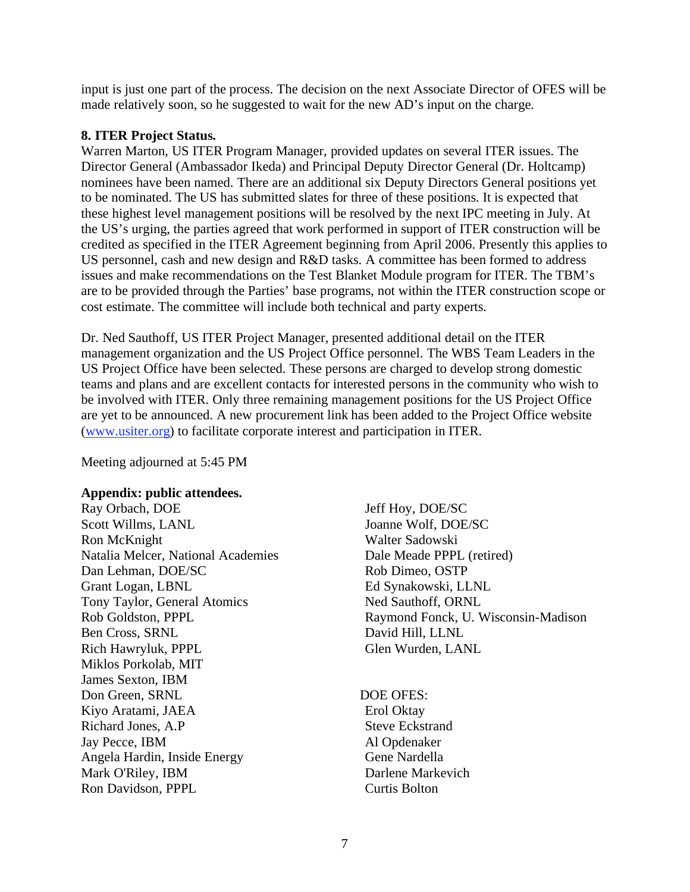input is just one part of the process. The decision on the next Associate Director of OFES will be made relatively soon, so he suggested to wait for the new AD's input on the charge.

## **8. ITER Project Status.**

Warren Marton, US ITER Program Manager, provided updates on several ITER issues. The Director General (Ambassador Ikeda) and Principal Deputy Director General (Dr. Holtcamp) nominees have been named. There are an additional six Deputy Directors General positions yet to be nominated. The US has submitted slates for three of these positions. It is expected that these highest level management positions will be resolved by the next IPC meeting in July. At the US's urging, the parties agreed that work performed in support of ITER construction will be credited as specified in the ITER Agreement beginning from April 2006. Presently this applies to US personnel, cash and new design and R&D tasks. A committee has been formed to address issues and make recommendations on the Test Blanket Module program for ITER. The TBM's are to be provided through the Parties' base programs, not within the ITER construction scope or cost estimate. The committee will include both technical and party experts.

Dr. Ned Sauthoff, US ITER Project Manager, presented additional detail on the ITER management organization and the US Project Office personnel. The WBS Team Leaders in the US Project Office have been selected. These persons are charged to develop strong domestic teams and plans and are excellent contacts for interested persons in the community who wish to be involved with ITER. Only three remaining management positions for the US Project Office are yet to be announced. A new procurement link has been added to the Project Office website (www.usiter.org) to facilitate corporate interest and participation in ITER.

Meeting adjourned at 5:45 PM

#### **Appendix: public attendees.**

Ray Orbach, DOE Scott Willms, LANL Ron McKnight Natalia Melcer, National Academies Dan Lehman, DOE/SC Grant Logan, LBNL Tony Taylor, General Atomics Rob Goldston, PPPL Ben Cross, SRNL Rich Hawryluk, PPPL Miklos Porkolab, MIT James Sexton, IBM Don Green, SRNL Kiyo Aratami, JAEA Richard Jones, A.P Jay Pecce, IBM Angela Hardin, Inside Energy Mark O'Riley, IBM Ron Davidson, PPPL

Jeff Hoy, DOE/SC Joanne Wolf, DOE/SC Walter Sadowski Dale Meade PPPL (retired) Rob Dimeo, OSTP Ed Synakowski, LLNL Ned Sauthoff, ORNL Raymond Fonck, U. Wisconsin-Madison David Hill, LLNL Glen Wurden, LANL

DOE OFES: Erol Oktay Steve Eckstrand Al Opdenaker Gene Nardella Darlene Markevich Curtis Bolton